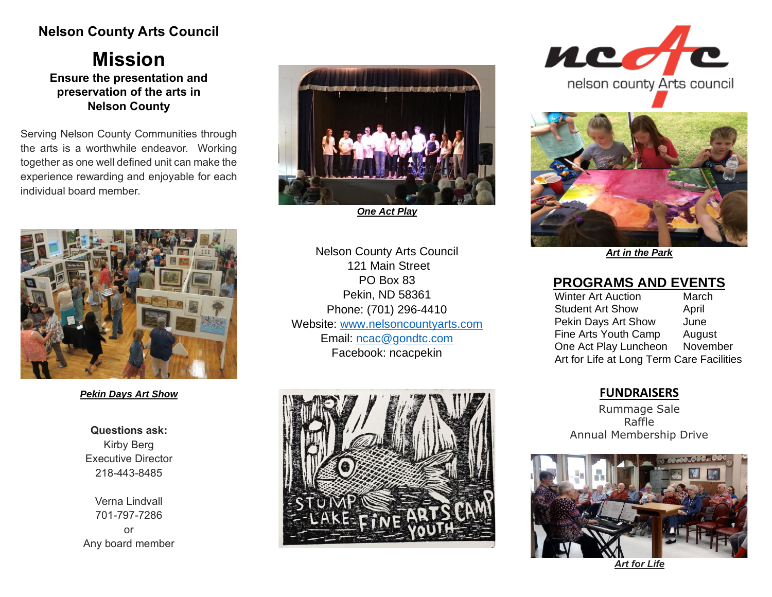# **Nelson County Arts Council**

**Mission Ensure the presentation and preservation of the arts in Nelson County**

Serving Nelson County Communities through the arts is a worthwhile endeavor. Working together as one well defined unit can make the experience rewarding and enjoyable for each individual board member.



*One Act Play*



*Pekin Days Art Show*

**Questions ask:** Kirby Berg Executive Director 218-443-8485

Verna Lindvall 701-797-7286 or Any board member

Nelson County Arts Council 121 Main Street PO Box 83 Pekin, ND 58361 Phone: (701) 296-4410 Website: [www.nelsoncountyarts.com](http://www.nelsoncountyarts.com/) Email: [ncac@gondtc.com](mailto:ncac@gondtc.com) Facebook: ncacpekin







*Art in the Park*

### **PROGRAMS AND EVENTS**

Winter Art Auction March Student Art Show April Pekin Days Art Show June Fine Arts Youth Camp August One Act Play Luncheon November Art for Life at Long Term Care Facilities

### **FUNDRAISERS**

Rummage Sale Raffle Annual Membership Drive



*Art for Life*